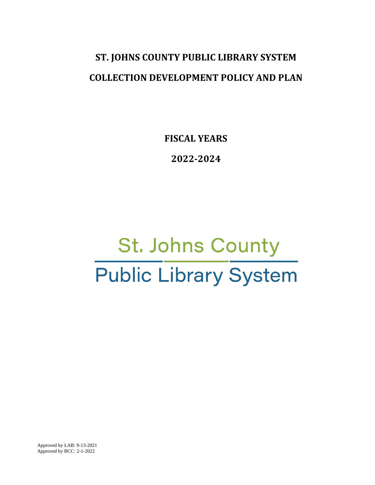# **ST. JOHNS COUNTY PUBLIC LIBRARY SYSTEM COLLECTION DEVELOPMENT POLICY AND PLAN**

**FISCAL YEARS**

**2022-2024**

# St. Johns County **Public Library System**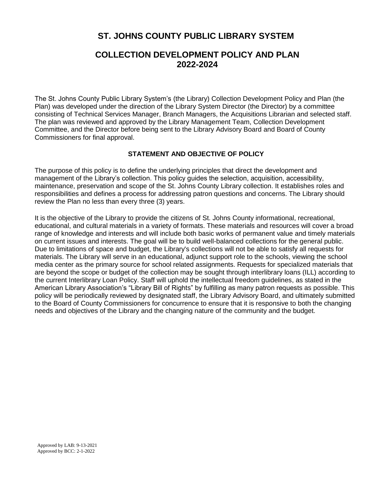## **ST. JOHNS COUNTY PUBLIC LIBRARY SYSTEM**

### **COLLECTION DEVELOPMENT POLICY AND PLAN 2022-2024**

The St. Johns County Public Library System's (the Library) Collection Development Policy and Plan (the Plan) was developed under the direction of the Library System Director (the Director) by a committee consisting of Technical Services Manager, Branch Managers, the Acquisitions Librarian and selected staff. The plan was reviewed and approved by the Library Management Team, Collection Development Committee, and the Director before being sent to the Library Advisory Board and Board of County Commissioners for final approval.

#### **STATEMENT AND OBJECTIVE OF POLICY**

The purpose of this policy is to define the underlying principles that direct the development and management of the Library's collection. This policy guides the selection, acquisition, accessibility, maintenance, preservation and scope of the St. Johns County Library collection. It establishes roles and responsibilities and defines a process for addressing patron questions and concerns. The Library should review the Plan no less than every three (3) years.

It is the objective of the Library to provide the citizens of St. Johns County informational, recreational, educational, and cultural materials in a variety of formats. These materials and resources will cover a broad range of knowledge and interests and will include both basic works of permanent value and timely materials on current issues and interests. The goal will be to build well-balanced collections for the general public. Due to limitations of space and budget, the Library's collections will not be able to satisfy all requests for materials. The Library will serve in an educational, adjunct support role to the schools, viewing the school media center as the primary source for school related assignments. Requests for specialized materials that are beyond the scope or budget of the collection may be sought through interlibrary loans (ILL) according to the current Interlibrary Loan Policy. Staff will uphold the intellectual freedom guidelines, as stated in the American Library Association's "Library Bill of Rights" by fulfilling as many patron requests as possible. This policy will be periodically reviewed by designated staff, the Library Advisory Board, and ultimately submitted to the Board of County Commissioners for concurrence to ensure that it is responsive to both the changing needs and objectives of the Library and the changing nature of the community and the budget.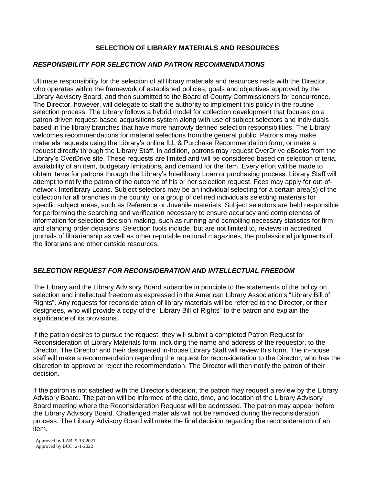#### **SELECTION OF LIBRARY MATERIALS AND RESOURCES**

#### *RESPONSIBILITY FOR SELECTION AND PATRON RECOMMENDATIONS*

Ultimate responsibility for the selection of all library materials and resources rests with the Director, who operates within the framework of established policies, goals and objectives approved by the Library Advisory Board, and then submitted to the Board of County Commissioners for concurrence. The Director, however, will delegate to staff the authority to implement this policy in the routine selection process. The Library follows a hybrid model for collection development that focuses on a patron-driven request-based acquisitions system along with use of subject selectors and individuals based in the library branches that have more narrowly defined selection responsibilities. The Library welcomes recommendations for material selections from the general public. Patrons may make materials requests using the Library's online ILL & Purchase Recommendation form, or make a request directly through the Library Staff. In addition, patrons may request OverDrive eBooks from the Library's OverDrive site. These requests are limited and will be considered based on selection criteria, availability of an item, budgetary limitations*,* and demand for the item. Every effort will be made to obtain items for patrons through the Library's Interlibrary Loan or purchasing process. Library Staff will attempt to notify the patron of the outcome of his or her selection request. Fees may apply for out-ofnetwork Interlibrary Loans. Subject selectors may be an individual selecting for a certain area(s) of the collection for all branches in the county, or a group of defined individuals selecting materials for specific subject areas, such as Reference or Juvenile materials. Subject selectors are held responsible for performing the searching and verification necessary to ensure accuracy and completeness of information for selection decision-making, such as running and compiling necessary statistics for firm and standing order decisions. Selection tools include, but are not limited to, reviews in accredited journals of librarianship as well as other reputable national magazines, the professional judgments of the librarians and other outside resources.

#### *SELECTION REQUEST FOR RECONSIDERATION AND INTELLECTUAL FREEDOM*

The Library and the Library Advisory Board subscribe in principle to the statements of the policy on selection and intellectual freedom as expressed in the American Library Association's "Library Bill of Rights". Any requests for reconsideration of library materials will be referred to the Director, or their designees, who will provide a copy of the "Library Bill of Rights" to the patron and explain the significance of its provisions.

If the patron desires to pursue the request, they will submit a completed Patron Request for Reconsideration of Library Materials form, including the name and address of the requestor, to the Director. The Director and their designated in-house Library Staff will review this form. The in-house staff will make a recommendation regarding the request for reconsideration to the Director, who has the discretion to approve or reject the recommendation. The Director will then notify the patron of their decision.

If the patron is not satisfied with the Director's decision, the patron may request a review by the Library Advisory Board. The patron will be informed of the date, time, and location of the Library Advisory Board meeting where the Reconsideration Request will be addressed. The patron may appear before the Library Advisory Board. Challenged materials will not be removed during the reconsideration process. The Library Advisory Board will make the final decision regarding the reconsideration of an item.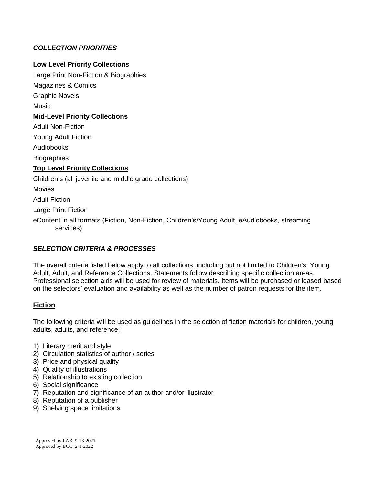#### *COLLECTION PRIORITIES*

#### **Low Level Priority Collections**

Large Print Non-Fiction & Biographies Magazines & Comics

Graphic Novels

Music

#### **Mid-Level Priority Collections**

Adult Non-Fiction

Young Adult Fiction

Audiobooks

**Biographies** 

#### **Top Level Priority Collections**

Children's (all juvenile and middle grade collections)

**Movies** 

Adult Fiction

Large Print Fiction

eContent in all formats (Fiction, Non-Fiction, Children's/Young Adult, eAudiobooks, streaming services)

#### *SELECTION CRITERIA & PROCESSES*

The overall criteria listed below apply to all collections, including but not limited to Children's, Young Adult, Adult, and Reference Collections. Statements follow describing specific collection areas. Professional selection aids will be used for review of materials. Items will be purchased or leased based on the selectors' evaluation and availability as well as the number of patron requests for the item.

#### **Fiction**

The following criteria will be used as guidelines in the selection of fiction materials for children, young adults, adults, and reference:

- 1) Literary merit and style
- 2) Circulation statistics of author / series
- 3) Price and physical quality
- 4) Quality of illustrations
- 5) Relationship to existing collection
- 6) Social significance
- 7) Reputation and significance of an author and/or illustrator
- 8) Reputation of a publisher
- 9) Shelving space limitations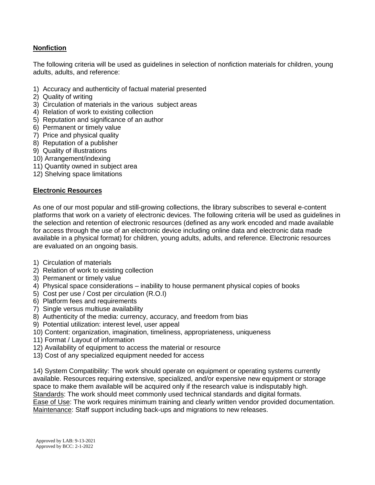#### **Nonfiction**

The following criteria will be used as guidelines in selection of nonfiction materials for children, young adults, adults, and reference:

- 1) Accuracy and authenticity of factual material presented
- 2) Quality of writing
- 3) Circulation of materials in the various subject areas
- 4) Relation of work to existing collection
- 5) Reputation and significance of an author
- 6) Permanent or timely value
- 7) Price and physical quality
- 8) Reputation of a publisher
- 9) Quality of illustrations
- 10) Arrangement/indexing
- 11) Quantity owned in subject area
- 12) Shelving space limitations

#### **Electronic Resources**

As one of our most popular and still-growing collections, the library subscribes to several e-content platforms that work on a variety of electronic devices. The following criteria will be used as guidelines in the selection and retention of electronic resources (defined as any work encoded and made available for access through the use of an electronic device including online data and electronic data made available in a physical format) for children, young adults, adults, and reference. Electronic resources are evaluated on an ongoing basis.

- 1) Circulation of materials
- 2) Relation of work to existing collection
- 3) Permanent or timely value
- 4) Physical space considerations inability to house permanent physical copies of books
- 5) Cost per use / Cost per circulation (R.O.I)
- 6) Platform fees and requirements
- 7) Single versus multiuse availability
- 8) Authenticity of the media: currency, accuracy, and freedom from bias
- 9) Potential utilization: interest level, user appeal
- 10) Content: organization, imagination, timeliness, appropriateness, uniqueness
- 11) Format / Layout of information
- 12) Availability of equipment to access the material or resource
- 13) Cost of any specialized equipment needed for access

14) System Compatibility: The work should operate on equipment or operating systems currently available. Resources requiring extensive, specialized, and/or expensive new equipment or storage space to make them available will be acquired only if the research value is indisputably high. Standards: The work should meet commonly used technical standards and digital formats. Ease of Use: The work requires minimum training and clearly written vendor provided documentation. Maintenance: Staff support including back-ups and migrations to new releases.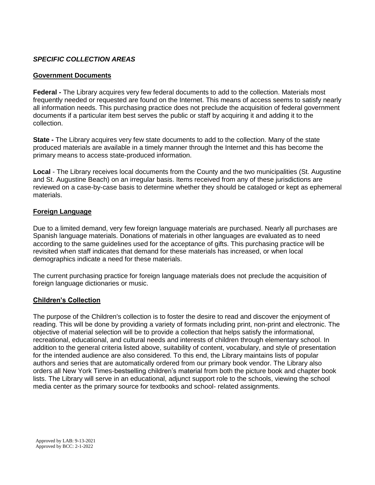#### *SPECIFIC COLLECTION AREAS*

#### **Government Documents**

**Federal -** The Library acquires very few federal documents to add to the collection. Materials most frequently needed or requested are found on the Internet. This means of access seems to satisfy nearly all information needs. This purchasing practice does not preclude the acquisition of federal government documents if a particular item best serves the public or staff by acquiring it and adding it to the collection.

**State -** The Library acquires very few state documents to add to the collection. Many of the state produced materials are available in a timely manner through the Internet and this has become the primary means to access state-produced information.

**Local** - The Library receives local documents from the County and the two municipalities (St. Augustine and St. Augustine Beach) on an irregular basis. Items received from any of these jurisdictions are reviewed on a case-by-case basis to determine whether they should be cataloged or kept as ephemeral materials.

#### **Foreign Language**

Due to a limited demand, very few foreign language materials are purchased. Nearly all purchases are Spanish language materials. Donations of materials in other languages are evaluated as to need according to the same guidelines used for the acceptance of gifts. This purchasing practice will be revisited when staff indicates that demand for these materials has increased, or when local demographics indicate a need for these materials.

The current purchasing practice for foreign language materials does not preclude the acquisition of foreign language dictionaries or music.

#### **Children's Collection**

The purpose of the Children's collection is to foster the desire to read and discover the enjoyment of reading. This will be done by providing a variety of formats including print, non-print and electronic. The objective of material selection will be to provide a collection that helps satisfy the informational, recreational, educational, and cultural needs and interests of children through elementary school. In addition to the general criteria listed above, suitability of content, vocabulary, and style of presentation for the intended audience are also considered. To this end, the Library maintains lists of popular authors and series that are automatically ordered from our primary book vendor. The Library also orders all New York Times-bestselling children's material from both the picture book and chapter book lists. The Library will serve in an educational, adjunct support role to the schools, viewing the school media center as the primary source for textbooks and school- related assignments.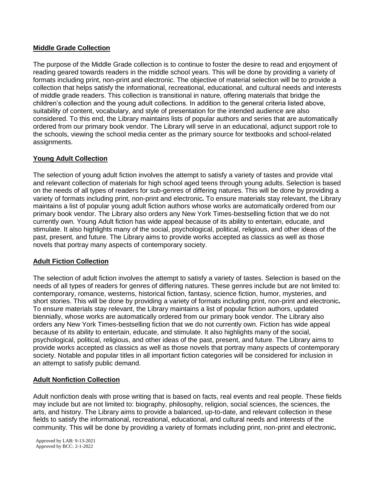#### **Middle Grade Collection**

The purpose of the Middle Grade collection is to continue to foster the desire to read and enjoyment of reading geared towards readers in the middle school years. This will be done by providing a variety of formats including print, non-print and electronic. The objective of material selection will be to provide a collection that helps satisfy the informational, recreational, educational, and cultural needs and interests of middle grade readers. This collection is transitional in nature, offering materials that bridge the children's collection and the young adult collections. In addition to the general criteria listed above, suitability of content, vocabulary, and style of presentation for the intended audience are also considered. To this end, the Library maintains lists of popular authors and series that are automatically ordered from our primary book vendor. The Library will serve in an educational, adjunct support role to the schools, viewing the school media center as the primary source for textbooks and school-related assignments.

#### **Young Adult Collection**

The selection of young adult fiction involves the attempt to satisfy a variety of tastes and provide vital and relevant collection of materials for high school aged teens through young adults. Selection is based on the needs of all types of readers for sub-genres of differing natures. This will be done by providing a variety of formats including print, non-print and electronic*.* To ensure materials stay relevant, the Library maintains a list of popular young adult fiction authors whose works are automatically ordered from our primary book vendor. The Library also orders any New York Times-bestselling fiction that we do not currently own. Young Adult fiction has wide appeal because of its ability to entertain, educate, and stimulate. It also highlights many of the social, psychological, political, religious, and other ideas of the past, present, and future. The Library aims to provide works accepted as classics as well as those novels that portray many aspects of contemporary society.

#### **Adult Fiction Collection**

The selection of adult fiction involves the attempt to satisfy a variety of tastes. Selection is based on the needs of all types of readers for genres of differing natures. These genres include but are not limited to: contemporary, romance, westerns, historical fiction, fantasy, science fiction, humor, mysteries, and short stories. This will be done by providing a variety of formats including print, non-print and electronic*.* To ensure materials stay relevant, the Library maintains a list of popular fiction authors, updated biennially, whose works are automatically ordered from our primary book vendor. The Library also orders any New York Times-bestselling fiction that we do not currently own. Fiction has wide appeal because of its ability to entertain, educate, and stimulate. It also highlights many of the social, psychological, political, religious, and other ideas of the past, present, and future. The Library aims to provide works accepted as classics as well as those novels that portray many aspects of contemporary society. Notable and popular titles in all important fiction categories will be considered for inclusion in an attempt to satisfy public demand.

#### **Adult Nonfiction Collection**

Adult nonfiction deals with prose writing that is based on facts, real events and real people. These fields may include but are not limited to: biography, philosophy, religion, social sciences, the sciences, the arts, and history. The Library aims to provide a balanced, up-to-date, and relevant collection in these fields to satisfy the informational, recreational, educational, and cultural needs and interests of the community. This will be done by providing a variety of formats including print, non-print and electronic*.*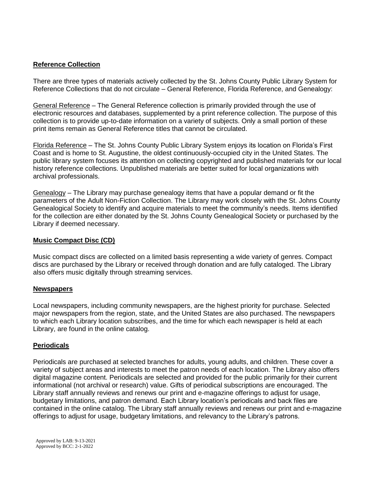#### **Reference Collection**

There are three types of materials actively collected by the St. Johns County Public Library System for Reference Collections that do not circulate – General Reference, Florida Reference, and Genealogy:

General Reference – The General Reference collection is primarily provided through the use of electronic resources and databases, supplemented by a print reference collection. The purpose of this collection is to provide up-to-date information on a variety of subjects. Only a small portion of these print items remain as General Reference titles that cannot be circulated.

Florida Reference – The St. Johns County Public Library System enjoys its location on Florida's First Coast and is home to St. Augustine, the oldest continuously-occupied city in the United States. The public library system focuses its attention on collecting copyrighted and published materials for our local history reference collections. Unpublished materials are better suited for local organizations with archival professionals.

Genealogy – The Library may purchase genealogy items that have a popular demand or fit the parameters of the Adult Non-Fiction Collection. The Library may work closely with the St. Johns County Genealogical Society to identify and acquire materials to meet the community's needs. Items identified for the collection are either donated by the St. Johns County Genealogical Society or purchased by the Library if deemed necessary.

#### **Music Compact Disc (CD)**

Music compact discs are collected on a limited basis representing a wide variety of genres. Compact discs are purchased by the Library or received through donation and are fully cataloged. The Library also offers music digitally through streaming services.

#### **Newspapers**

Local newspapers, including community newspapers, are the highest priority for purchase. Selected major newspapers from the region, state, and the United States are also purchased. The newspapers to which each Library location subscribes, and the time for which each newspaper is held at each Library, are found in the online catalog.

#### **Periodicals**

Periodicals are purchased at selected branches for adults, young adults, and children. These cover a variety of subject areas and interests to meet the patron needs of each location. The Library also offers digital magazine content. Periodicals are selected and provided for the public primarily for their current informational (not archival or research) value. Gifts of periodical subscriptions are encouraged. The Library staff annually reviews and renews our print and e-magazine offerings to adjust for usage, budgetary limitations, and patron demand. Each Library location's periodicals and back files are contained in the online catalog. The Library staff annually reviews and renews our print and e-magazine offerings to adjust for usage, budgetary limitations, and relevancy to the Library's patrons.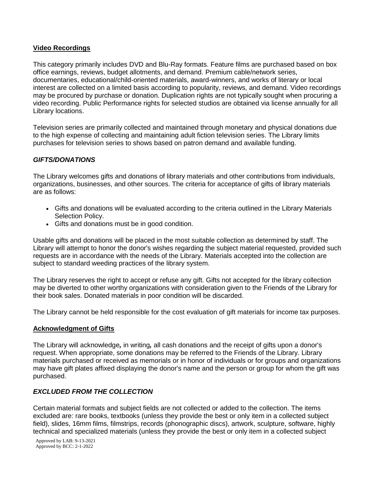#### **Video Recordings**

This category primarily includes DVD and Blu-Ray formats. Feature films are purchased based on box office earnings, reviews, budget allotments, and demand. Premium cable/network series, documentaries, educational/child-oriented materials, award-winners, and works of literary or local interest are collected on a limited basis according to popularity, reviews, and demand. Video recordings may be procured by purchase or donation. Duplication rights are not typically sought when procuring a video recording. Public Performance rights for selected studios are obtained via license annually for all Library locations.

Television series are primarily collected and maintained through monetary and physical donations due to the high expense of collecting and maintaining adult fiction television series. The Library limits purchases for television series to shows based on patron demand and available funding.

#### *GIFTS/DONATIONS*

The Library welcomes gifts and donations of library materials and other contributions from individuals, organizations, businesses, and other sources. The criteria for acceptance of gifts of library materials are as follows:

- Gifts and donations will be evaluated according to the criteria outlined in the Library Materials Selection Policy.
- Gifts and donations must be in good condition.

Usable gifts and donations will be placed in the most suitable collection as determined by staff. The Library will attempt to honor the donor's wishes regarding the subject material requested, provided such requests are in accordance with the needs of the Library. Materials accepted into the collection are subject to standard weeding practices of the library system.

The Library reserves the right to accept or refuse any gift. Gifts not accepted for the library collection may be diverted to other worthy organizations with consideration given to the Friends of the Library for their book sales. Donated materials in poor condition will be discarded.

The Library cannot be held responsible for the cost evaluation of gift materials for income tax purposes.

#### **Acknowledgment of Gifts**

The Library will acknowledge*,* in writing*,* all cash donations and the receipt of gifts upon a donor's request. When appropriate, some donations may be referred to the Friends of the Library. Library materials purchased or received as memorials or in honor of individuals or for groups and organizations may have gift plates affixed displaying the donor's name and the person or group for whom the gift was purchased.

#### *EXCLUDED FROM THE COLLECTION*

Certain material formats and subject fields are not collected or added to the collection. The items excluded are: rare books, textbooks (unless they provide the best or only item in a collected subject field), slides, 16mm films, filmstrips, records (phonographic discs), artwork, sculpture, software, highly technical and specialized materials (unless they provide the best or only item in a collected subject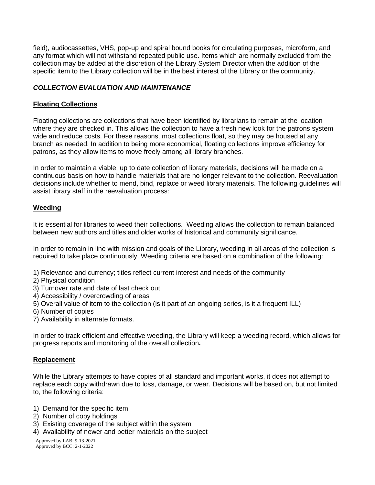field), audiocassettes, VHS, pop-up and spiral bound books for circulating purposes, microform, and any format which will not withstand repeated public use. Items which are normally excluded from the collection may be added at the discretion of the Library System Director when the addition of the specific item to the Library collection will be in the best interest of the Library or the community.

#### *COLLECTION EVALUATION AND MAINTENANCE*

#### **Floating Collections**

Floating collections are collections that have been identified by librarians to remain at the location where they are checked in. This allows the collection to have a fresh new look for the patrons system wide and reduce costs. For these reasons, most collections float, so they may be housed at any branch as needed. In addition to being more economical, floating collections improve efficiency for patrons, as they allow items to move freely among all library branches.

In order to maintain a viable, up to date collection of library materials, decisions will be made on a continuous basis on how to handle materials that are no longer relevant to the collection. Reevaluation decisions include whether to mend, bind, replace or weed library materials. The following guidelines will assist library staff in the reevaluation process:

#### **Weeding**

It is essential for libraries to weed their collections. Weeding allows the collection to remain balanced between new authors and titles and older works of historical and community significance.

In order to remain in line with mission and goals of the Library, weeding in all areas of the collection is required to take place continuously. Weeding criteria are based on a combination of the following:

- 1) Relevance and currency; titles reflect current interest and needs of the community
- 2) Physical condition
- 3) Turnover rate and date of last check out
- 4) Accessibility / overcrowding of areas
- 5) Overall value of item to the collection (is it part of an ongoing series, is it a frequent ILL)
- 6) Number of copies
- 7) Availability in alternate formats.

In order to track efficient and effective weeding, the Library will keep a weeding record, which allows for progress reports and monitoring of the overall collection*.*

#### **Replacement**

While the Library attempts to have copies of all standard and important works, it does not attempt to replace each copy withdrawn due to loss, damage, or wear. Decisions will be based on, but not limited to, the following criteria:

- 1) Demand for the specific item
- 2) Number of copy holdings
- 3) Existing coverage of the subject within the system
- 4) Availability of newer and better materials on the subject